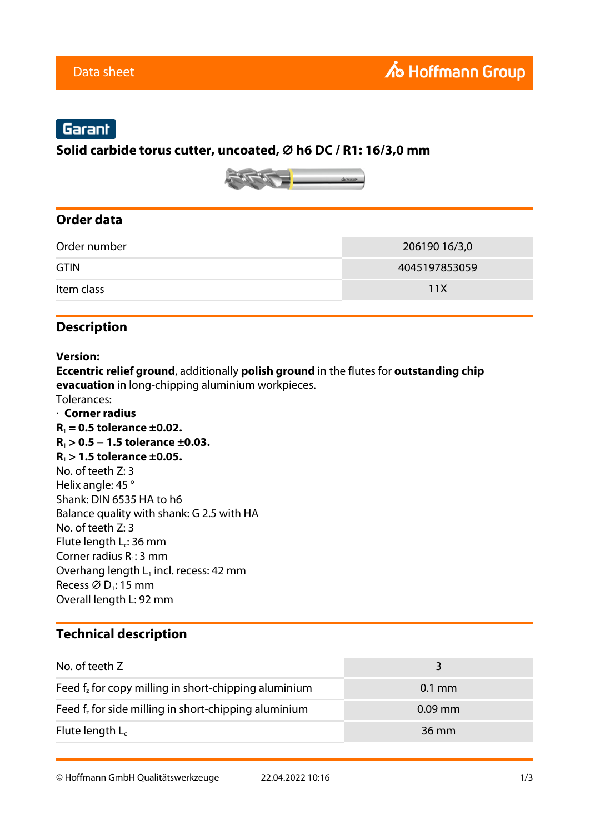# Garant

#### **Solid carbide torus cutter, uncoated, ⌀ h6 DC / R1: 16/3,0 mm**



#### **Order data**

| Order number | 206190 16/3,0 |
|--------------|---------------|
| <b>GTIN</b>  | 4045197853059 |
| Item class   | 11X           |

### **Description**

#### **Version:**

**Eccentric relief ground**, additionally **polish ground** in the flutes for **outstanding chip evacuation** in long-chipping aluminium workpieces.

- Tolerances:
- · **Corner radius R**1 **= 0.5 tolerance ±0.02. R**1 **> 0.5 − 1.5 tolerance ±0.03. R**1 **> 1.5 tolerance ±0.05.** No. of teeth Z: 3 Helix angle: 45 ° Shank: DIN 6535 HA to h6 Balance quality with shank: G 2.5 with HA No. of teeth Z: 3 Flute length  $L_c$ : 36 mm Corner radius  $R_1$ : 3 mm Overhang length  $L_1$  incl. recess: 42 mm Recess  $\varnothing$  D<sub>1</sub>: 15 mm Overall length L: 92 mm

### **Technical description**

| No. of teeth Z                                          | २                |
|---------------------------------------------------------|------------------|
| Feed $f_z$ for copy milling in short-chipping aluminium | $0.1 \text{ mm}$ |
| Feed $f_z$ for side milling in short-chipping aluminium | $0.09$ mm        |
| Flute length $L_c$                                      | 36 mm            |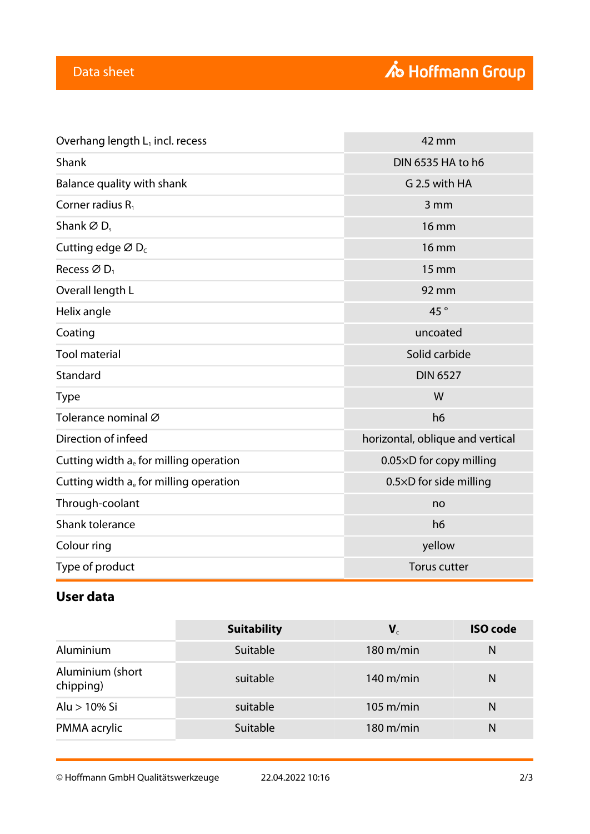| Overhang length $L_1$ incl. recess                                   | 42 mm                            |  |
|----------------------------------------------------------------------|----------------------------------|--|
| Shank                                                                | DIN 6535 HA to h6                |  |
| Balance quality with shank                                           | G 2.5 with HA                    |  |
| Corner radius $R_1$                                                  | 3 mm                             |  |
| Shank $\varnothing$ D <sub>s</sub>                                   | <b>16 mm</b>                     |  |
| Cutting edge $\varnothing$ D <sub>c</sub>                            | <b>16 mm</b>                     |  |
| Recess $\varnothing$ D <sub>1</sub>                                  | 15 mm                            |  |
| Overall length L                                                     | 92 mm                            |  |
| Helix angle                                                          | 45°                              |  |
| Coating                                                              | uncoated                         |  |
| <b>Tool material</b>                                                 | Solid carbide                    |  |
| Standard                                                             | <b>DIN 6527</b>                  |  |
| <b>Type</b>                                                          | W                                |  |
| Tolerance nominal Ø                                                  | h <sub>6</sub>                   |  |
| Direction of infeed                                                  | horizontal, oblique and vertical |  |
| Cutting width $a_e$ for milling operation<br>0.05×D for copy milling |                                  |  |
| Cutting width $a_e$ for milling operation                            | 0.5×D for side milling           |  |
| Through-coolant                                                      | no                               |  |
| Shank tolerance                                                      | h <sub>6</sub>                   |  |
| Colour ring                                                          | yellow                           |  |
| Type of product                                                      | <b>Torus cutter</b>              |  |

# **User data**

|                               | <b>Suitability</b> | $\mathbf{V}_{c}$    | <b>ISO</b> code |
|-------------------------------|--------------------|---------------------|-----------------|
| Aluminium                     | Suitable           | $180 \text{ m/min}$ | N               |
| Aluminium (short<br>chipping) | suitable           | $140 \text{ m/min}$ | N               |
| Alu > 10% Si                  | suitable           | $105 \text{ m/min}$ | N               |
| PMMA acrylic                  | Suitable           | $180 \text{ m/min}$ | N               |

© Hoffmann GmbH Qualitätswerkzeuge 22.04.2022 10:16 2/3